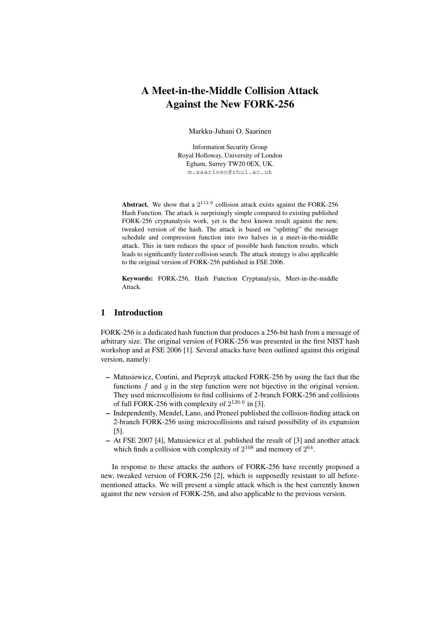# A Meet-in-the-Middle Collision Attack Against the New FORK-256

Markku-Juhani O. Saarinen

Information Security Group Royal Holloway, University of London Egham, Surrey TW20 0EX, UK. m.saarinen@rhul.ac.uk

**Abstract.** We show that a  $2^{112.9}$  collision attack exists against the FORK-256 Hash Function. The attack is surprisingly simple compared to existing published FORK-256 cryptanalysis work, yet is the best known result against the new, tweaked version of the hash. The attack is based on "splitting" the message schedule and compression function into two halves in a meet-in-the-middle attack. This in turn reduces the space of possible hash function results, which leads to significantly faster collision search. The attack strategy is also applicable to the original version of FORK-256 published in FSE 2006.

Keywords: FORK-256, Hash Function Cryptanalysis, Meet-in-the-middle Attack.

### 1 Introduction

FORK-256 is a dedicated hash function that produces a 256-bit hash from a message of arbitrary size. The original version of FORK-256 was presented in the first NIST hash workshop and at FSE 2006 [1]. Several attacks have been outlined against this original version, namely:

- Matusiewicz, Contini, and Pieprzyk attacked FORK-256 by using the fact that the functions f and q in the step function were not bijective in the original version. They used microcollisions to find collisions of 2-branch FORK-256 and collisions of full FORK-256 with complexity of  $2^{126.6}$  in [3].
- Independently, Mendel, Lano, and Preneel published the collision-finding attack on 2-branch FORK-256 using microcollisions and raised possibility of its expansion [5].
- At FSE 2007 [4], Matusiewicz et al. published the result of [3] and another attack which finds a collision with complexity of  $2^{108}$  and memory of  $2^{64}$ .

In response to these attacks the authors of FORK-256 have recently proposed a new, tweaked version of FORK-256 [2], which is supposedly resistant to all beforementioned attacks. We will present a simple attack which is the best currently known against the new version of FORK-256, and also applicable to the previous version.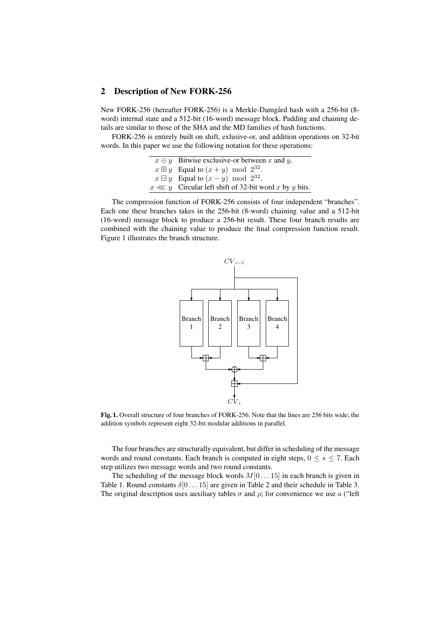### 2 Description of New FORK-256

New FORK-256 (hereafter FORK-256) is a Merkle-Damgård hash with a 256-bit (8 word) internal state and a 512-bit (16-word) message block. Padding and chaining details are similar to those of the SHA and the MD families of hash functions.

FORK-256 is entirely built on shift, exlusive-or, and addition operations on 32-bit words. In this paper we use the following notation for these operations:

```
x \oplus y Bitwise exclusive-or between x and y.
  x \boxplus y Equal to (x+y) \mod 2^{32}.
  x \boxminus y Equal to (x - y) mod 2^{32}.
x \ll y Circular left shift of 32-bit word x by y bits.
```
The compression function of FORK-256 consists of four independent "branches". Each one these branches takes in the 256-bit (8-word) chaining value and a 512-bit (16-word) message block to produce a 256-bit result. These four branch results are combined with the chaining value to produce the final compression function result. Figure 1 illustrates the branch structure.



Fig. 1. Overall structure of four branches of FORK-256. Note that the lines are 256 bits wide; the addition symbols represent eight 32-bit modular additions in parallel.

The four branches are structurally equivalent, but differ in scheduling of the message words and round constants. Each branch is computed in eight steps,  $0 \le s \le 7$ . Each step utilizes two message words and two round constants.

The scheduling of the message block words  $M[0...15]$  in each branch is given in Table 1. Round constants  $\delta[0 \dots 15]$  are given in Table 2 and their schedule in Table 3. The original description uses auxiliary tables  $\sigma$  and  $\rho$ ; for convenience we use a ("left")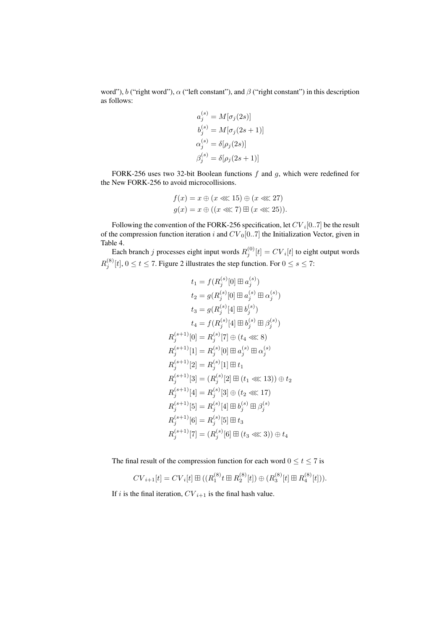word"), b ("right word"),  $\alpha$  ("left constant"), and  $\beta$  ("right constant") in this description as follows:

$$
a_j^{(s)} = M[\sigma_j(2s)]
$$
  
\n
$$
b_j^{(s)} = M[\sigma_j(2s+1)]
$$
  
\n
$$
\alpha_j^{(s)} = \delta[\rho_j(2s)]
$$
  
\n
$$
\beta_j^{(s)} = \delta[\rho_j(2s+1)]
$$

FORK-256 uses two 32-bit Boolean functions  $f$  and  $g$ , which were redefined for the New FORK-256 to avoid microcollisions.

$$
f(x) = x \oplus (x \lll 15) \oplus (x \lll 27)
$$
  

$$
g(x) = x \oplus ((x \lll 7) \boxplus (x \lll 25)).
$$

Following the convention of the FORK-256 specification, let  $CV_i[0..7]$  be the result of the compression function iteration i and  $CV_0[0..7]$  the Initialization Vector, given in Table 4.

Each branch j processes eight input words  $R_j^{(0)}[t] = CV_i[t]$  to eight output words  $R_j^{(8)}[t], 0 \le t \le 7$ . Figure 2 illustrates the step function. For  $0 \le s \le 7$ :

$$
t_1 = f(R_j^{(s)}[0] \boxplus a_j^{(s)})
$$
  
\n
$$
t_2 = g(R_j^{(s)}[0] \boxplus a_j^{(s)} \boxplus \alpha_j^{(s)})
$$
  
\n
$$
t_3 = g(R_j^{(s)}[4] \boxplus b_j^{(s)})
$$
  
\n
$$
t_4 = f(R_j^{(s)}[4] \boxplus b_j^{(s)} \boxplus \beta_j^{(s)})
$$
  
\n
$$
R_j^{(s+1)}[0] = R_j^{(s)}[7] \oplus (t_4 \ll 8)
$$
  
\n
$$
R_j^{(s+1)}[1] = R_j^{(s)}[0] \boxplus a_j^{(s)} \boxplus \alpha_j^{(s)}
$$
  
\n
$$
R_j^{(s+1)}[2] = R_j^{(s)}[1] \boxplus t_1
$$
  
\n
$$
R_j^{(s+1)}[3] = (R_j^{(s)}[2] \boxplus (t_1 \ll 13)) \oplus t_2
$$
  
\n
$$
R_j^{(s+1)}[4] = R_j^{(s)}[3] \oplus (t_2 \ll 17)
$$
  
\n
$$
R_j^{(s+1)}[5] = R_j^{(s)}[4] \boxplus b_j^{(s)} \boxplus \beta_j^{(s)}
$$
  
\n
$$
R_j^{(s+1)}[6] = R_j^{(s)}[5] \boxplus t_3
$$
  
\n
$$
R_j^{(s+1)}[7] = (R_j^{(s)}[6] \boxplus (t_3 \ll 3)) \oplus t_4
$$

The final result of the compression function for each word  $0 \le t \le 7$  is

$$
CV_{i+1}[t] = CV_i[t] \boxplus ((R_1^{(8)} \cup t \boxplus R_2^{(8)}[t]) \oplus (R_3^{(8)}[t] \boxplus R_4^{(8)}[t])).
$$

If i is the final iteration,  $CV_{i+1}$  is the final hash value.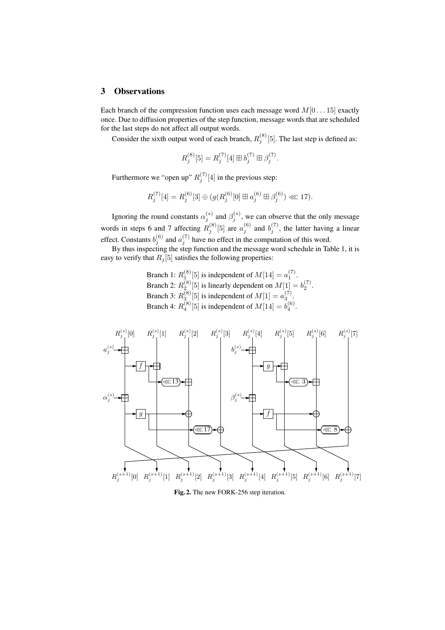# 3 Observations

Each branch of the compression function uses each message word  $M[0...15]$  exactly once. Due to diffusion properties of the step function, message words that are scheduled for the last steps do not affect all output words.

Consider the sixth output word of each branch,  $R_j^{(8)}$  [5]. The last step is defined as:

$$
R_j^{(8)}[5] = R_j^{(7)}[4] \boxplus b_j^{(7)} \boxplus \beta_j^{(7)}.
$$

Furthermore we "open up"  $R_j^{(7)}[4]$  in the previous step:

$$
R_j^{(7)}[4] = R_j^{(6)}[3] \oplus (g(R_j^{(6)}[0] \boxplus a_j^{(6)} \boxplus \beta_j^{(6)}) \lll 17).
$$

Ignoring the round constants  $\alpha_j^{(s)}$  and  $\beta_j^{(s)}$ , we can observe that the only message words in steps 6 and 7 affecting  $R_j^{(8)}$  [5] are  $a_j^{(6)}$  and  $b_j^{(7)}$ , the latter having a linear effect. Constants  $b_j^{(6)}$  and  $a_j^{(7)}$  have no effect in the computation of this word.

By thus inspecting the step function and the message word schedule in Table 1, it is easy to verify that  $R_i[5]$  satisfies the following properties:

> Branch 1:  $R_1^{(8)}[5]$  is independent of  $M[14] = a_1^{(7)}$ . Branch 2:  $R_2^{(8)}$  [5] is linearly dependent on  $M[1] = b_2^{(7)}$ . Branch 3:  $R_3^{(8)}[5]$  is independent of  $M[1] = a_3^{(7)}$ . Branch 4:  $R_4^{(8)}[5]$  is independent of  $M[14] = b_4^{(6)}$ .



Fig. 2. The new FORK-256 step iteration.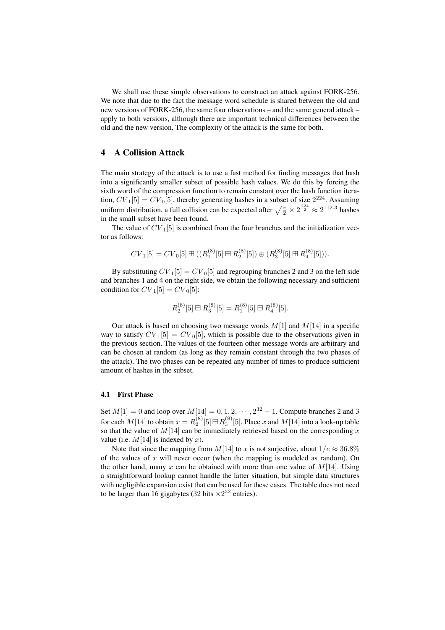We shall use these simple observations to construct an attack against FORK-256. We note that due to the fact the message word schedule is shared between the old and new versions of FORK-256, the same four observations – and the same general attack – apply to both versions, although there are important technical differences between the old and the new version. The complexity of the attack is the same for both.

### 4 A Collision Attack

The main strategy of the attack is to use a fast method for finding messages that hash into a significantly smaller subset of possible hash values. We do this by forcing the sixth word of the compression function to remain constant over the hash function iteration,  $CV_1[5] = CV_0[5]$ , thereby generating hashes in a subset of size  $2^{224}$ . Assuming uniform distribution, a full collision can be expected after  $\sqrt{\frac{\pi}{2}} \times 2^{\frac{224}{2}} \approx 2^{112.3}$  hashes uniform distribution, a full collision can be expected after  $\sqrt{\frac{\pi}{2}} \times 2^{\frac{224}{2}} \approx 2^{112.3}$  hashes in the small subset have been found.

The value of  $CV_1[5]$  is combined from the four branches and the initialization vector as follows:

$$
CV_1[5] = CV_0[5] \boxplus ((R_1^{(8)}[5] \boxplus R_2^{(8)}[5]) \oplus (R_3^{(8)}[5] \boxplus R_4^{(8)}[5])).
$$

By substituting  $CV_1[5] = CV_0[5]$  and regrouping branches 2 and 3 on the left side and branches 1 and 4 on the right side, we obtain the following necessary and sufficient condition for  $CV_1[5] = CV_0[5]$ :

$$
R_2^{(8)}[5] \boxminus R_3^{(8)}[5] = R_1^{(8)}[5] \boxminus R_4^{(8)}[5].
$$

Our attack is based on choosing two message words  $M[1]$  and  $M[14]$  in a specific way to satisfy  $CV_1[5] = CV_0[5]$ , which is possible due to the observations given in the previous section. The values of the fourteen other message words are arbitrary and can be chosen at random (as long as they remain constant through the two phases of the attack). The two phases can be repeated any number of times to produce sufficient amount of hashes in the subset.

#### 4.1 First Phase

Set  $M[1] = 0$  and loop over  $M[14] = 0, 1, 2, \dots, 2^{32} - 1$ . Compute branches 2 and 3 for each  $M[14]$  to obtain  $x=R_2^{(8)}[5]\, \boxdot \, R_3^{(8)}[5].$  Place  $x$  and  $M[14]$  into a look-up table so that the value of  $M[14]$  can be immediately retrieved based on the corresponding x value (i.e.  $M[14]$  is indexed by x).

Note that since the mapping from M[14] to x is not surjective, about  $1/e \approx 36.8\%$ of the values of  $x$  will never occur (when the mapping is modeled as random). On the other hand, many x can be obtained with more than one value of  $M[14]$ . Using a straightforward lookup cannot handle the latter situation, but simple data structures with negligible expansion exist that can be used for these cases. The table does not need to be larger than 16 gigabytes (32 bits  $\times 2^{32}$  entries).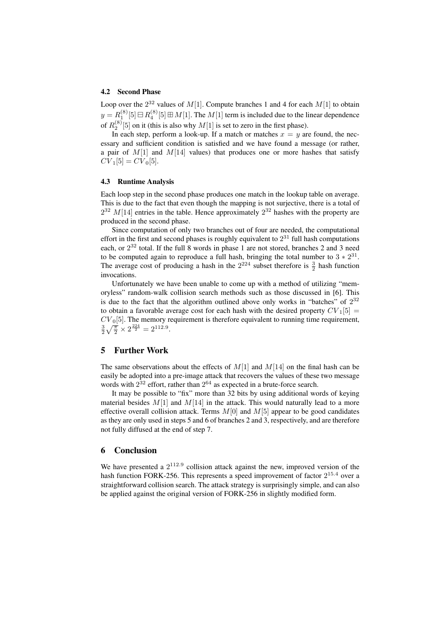#### 4.2 Second Phase

Loop over the  $2^{32}$  values of  $M[1]$ . Compute branches 1 and 4 for each  $M[1]$  to obtain  $y = R_1^{(8)}[5] \boxminus R_4^{(8)}[5] \boxplus M[1].$  The  $M[1]$  term is included due to the linear dependence of  $R_2^{(8)}[5]$  on it (this is also why  $M[1]$  is set to zero in the first phase).

In each step, perform a look-up. If a match or matches  $x = y$  are found, the necessary and sufficient condition is satisfied and we have found a message (or rather, a pair of  $M[1]$  and  $M[14]$  values) that produces one or more hashes that satisfy  $CV_1[5] = CV_0[5]$ .

#### 4.3 Runtime Analysis

Each loop step in the second phase produces one match in the lookup table on average. This is due to the fact that even though the mapping is not surjective, there is a total of  $2^{32}$  M[14] entries in the table. Hence approximately  $2^{32}$  hashes with the property are produced in the second phase.

Since computation of only two branches out of four are needed, the computational effort in the first and second phases is roughly equivalent to  $2^{31}$  full hash computations each, or  $2^{32}$  total. If the full 8 words in phase 1 are not stored, branches 2 and 3 need to be computed again to reproduce a full hash, bringing the total number to  $3 \times 2^{31}$ . The average cost of producing a hash in the  $2^{224}$  subset therefore is  $\frac{3}{2}$  hash function invocations.

Unfortunately we have been unable to come up with a method of utilizing "memoryless" random-walk collision search methods such as those discussed in [6]. This is due to the fact that the algorithm outlined above only works in "batches" of  $2^{32}$ to obtain a favorable average cost for each hash with the desired property  $CV<sub>1</sub>[5]$  =  $CV<sub>0</sub>[5]$ . The memory requirement is therefore equivalent to running time requirement,  $\frac{3}{2}\sqrt{\frac{\pi}{2}} \times 2^{\frac{224}{2}} = 2^{112.9}.$ 

## 5 Further Work

The same observations about the effects of  $M[1]$  and  $M[14]$  on the final hash can be easily be adopted into a pre-image attack that recovers the values of these two message words with  $2^{32}$  effort, rather than  $2^{64}$  as expected in a brute-force search.

It may be possible to "fix" more than 32 bits by using additional words of keying material besides  $M[1]$  and  $M[14]$  in the attack. This would naturally lead to a more effective overall collision attack. Terms  $M[0]$  and  $M[5]$  appear to be good candidates as they are only used in steps 5 and 6 of branches 2 and 3, respectively, and are therefore not fully diffused at the end of step 7.

### 6 Conclusion

We have presented a  $2^{112.9}$  collision attack against the new, improved version of the hash function FORK-256. This represents a speed improvement of factor  $2^{15.4}$  over a straightforward collision search. The attack strategy is surprisingly simple, and can also be applied against the original version of FORK-256 in slightly modified form.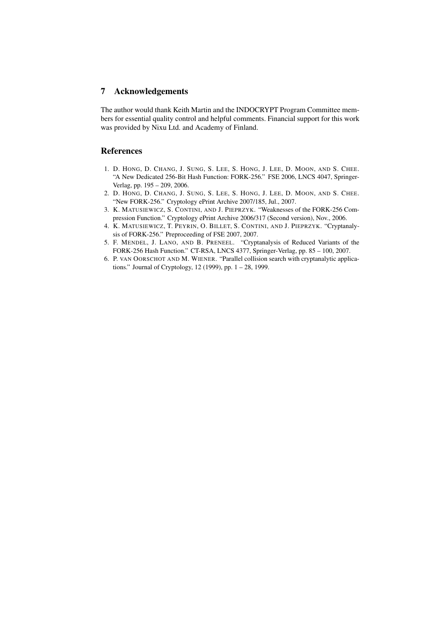# 7 Acknowledgements

The author would thank Keith Martin and the INDOCRYPT Program Committee members for essential quality control and helpful comments. Financial support for this work was provided by Nixu Ltd. and Academy of Finland.

# References

- 1. D. HONG, D. CHANG, J. SUNG, S. LEE, S. HONG, J. LEE, D. MOON, AND S. CHEE. "A New Dedicated 256-Bit Hash Function: FORK-256." FSE 2006, LNCS 4047, Springer-Verlag, pp. 195 – 209, 2006.
- 2. D. HONG, D. CHANG, J. SUNG, S. LEE, S. HONG, J. LEE, D. MOON, AND S. CHEE. "New FORK-256." Cryptology ePrint Archive 2007/185, Jul., 2007.
- 3. K. MATUSIEWICZ, S. CONTINI, AND J. PIEPRZYK. "Weaknesses of the FORK-256 Compression Function." Cryptology ePrint Archive 2006/317 (Second version), Nov., 2006.
- 4. K. MATUSIEWICZ, T. PEYRIN, O. BILLET, S. CONTINI, AND J. PIEPRZYK. "Cryptanalysis of FORK-256." Preproceeding of FSE 2007, 2007.
- 5. F. MENDEL, J. LANO, AND B. PRENEEL. "Cryptanalysis of Reduced Variants of the FORK-256 Hash Function." CT-RSA, LNCS 4377, Springer-Verlag, pp. 85 – 100, 2007.
- 6. P. VAN OORSCHOT AND M. WIENER. "Parallel collision search with cryptanalytic applications." Journal of Cryptology, 12 (1999), pp. 1 – 28, 1999.